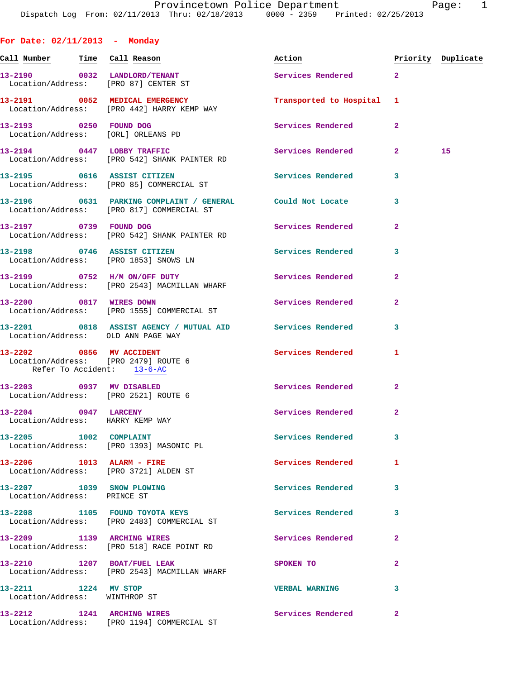**For Date: 02/11/2013 - Monday** Call Number Time Call Reason **Reason Action Action** Priority Duplicate **13-2190 0032 LANDLORD/TENANT Services Rendered 2**  Location/Address: [PRO 87] CENTER ST **13-2191 0052 MEDICAL EMERGENCY Transported to Hospital 1**  Location/Address: [PRO 442] HARRY KEMP WAY **13-2193 0250 FOUND DOG Services Rendered 2**  Location/Address: [ORL] ORLEANS PD **13-2194 0447 LOBBY TRAFFIC Services Rendered 2 15**  Location/Address: [PRO 542] SHANK PAINTER RD **13-2195 0616 ASSIST CITIZEN Services Rendered 3**  Location/Address: [PRO 85] COMMERCIAL ST **13-2196 0631 PARKING COMPLAINT / GENERAL Could Not Locate 3**  Location/Address: [PRO 817] COMMERCIAL ST **13-2197 0739 FOUND DOG Services Rendered 2**  Location/Address: [PRO 542] SHANK PAINTER RD **13-2198 0746 ASSIST CITIZEN Services Rendered 3**  Location/Address: [PRO 1853] SNOWS LN **13-2199 0752 H/M ON/OFF DUTY Services Rendered 2**  Location/Address: [PRO 2543] MACMILLAN WHARF **13-2200 0817 WIRES DOWN Services Rendered 2**  Location/Address: [PRO 1555] COMMERCIAL ST **13-2201 0818 ASSIST AGENCY / MUTUAL AID Services Rendered 3**  Location/Address: OLD ANN PAGE WAY **13-2202 0856 MV ACCIDENT Services Rendered 1**  Location/Address: [PRO 2479] ROUTE 6 Refer To Accident: 13-6-AC **13-2203 0937 MV DISABLED Services Rendered 2**  Location/Address: [PRO 2521] ROUTE 6 **13-2204 0947 LARCENY Services Rendered 2**  Location/Address: HARRY KEMP WAY 13-2205 1002 COMPLAINT **13-2205** Services Rendered 3 Location/Address: [PRO 1393] MASONIC PL **13-2206 1013 ALARM - FIRE Services Rendered 1**  Location/Address: [PRO 3721] ALDEN ST **13-2207 1039 SNOW PLOWING Services Rendered 3**  Location/Address: PRINCE ST **13-2208 1105 FOUND TOYOTA KEYS Services Rendered 3**  Location/Address: [PRO 2483] COMMERCIAL ST **13-2209 1139 ARCHING WIRES Services Rendered 2**  Location/Address: [PRO 518] RACE POINT RD **13-2210 1207 BOAT/FUEL LEAK SPOKEN TO 2**  Location/Address: [PRO 2543] MACMILLAN WHARF **13-2211 1224 MV STOP VERBAL WARNING 3**  Location/Address: WINTHROP ST

**13-2212 1241 ARCHING WIRES Services Rendered 2**  Location/Address: [PRO 1194] COMMERCIAL ST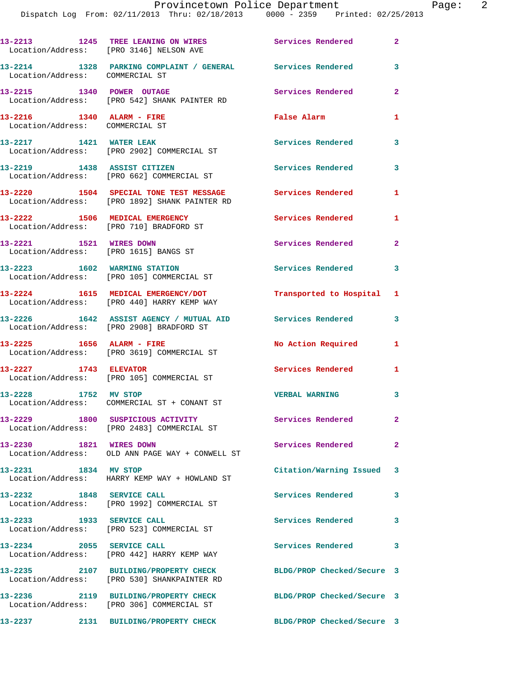|                                                                  | 13-2213 1245 TREE LEANING ON WIRES Services Rendered 2<br>Location/Address: [PRO 3146] NELSON AVE |                            |                            |
|------------------------------------------------------------------|---------------------------------------------------------------------------------------------------|----------------------------|----------------------------|
| Location/Address: COMMERCIAL ST                                  | 13-2214 1328 PARKING COMPLAINT / GENERAL Services Rendered                                        |                            | 3                          |
| 13-2215 1340 POWER OUTAGE                                        | Location/Address: [PRO 542] SHANK PAINTER RD                                                      | Services Rendered          | $\mathbf{2}$               |
| 13-2216 1340 ALARM - FIRE<br>Location/Address: COMMERCIAL ST     |                                                                                                   | <b>False Alarm</b>         | 1                          |
| 13-2217 1421 WATER LEAK                                          | Location/Address: [PRO 2902] COMMERCIAL ST                                                        | <b>Services Rendered</b>   | 3                          |
| 13-2219 1438 ASSIST CITIZEN                                      | Location/Address: [PRO 662] COMMERCIAL ST                                                         | <b>Services Rendered</b>   | 3                          |
|                                                                  | 13-2220 1504 SPECIAL TONE TEST MESSAGE<br>Location/Address: [PRO 1892] SHANK PAINTER RD           | <b>Services Rendered</b>   | 1                          |
| 13-2222 1506 MEDICAL EMERGENCY                                   | Location/Address: [PRO 710] BRADFORD ST                                                           | Services Rendered          | 1                          |
| 13-2221 1521 WIRES DOWN<br>Location/Address: [PRO 1615] BANGS ST |                                                                                                   | Services Rendered          | $\mathbf{2}$               |
|                                                                  | 13-2223 1602 WARMING STATION<br>Location/Address: [PRO 105] COMMERCIAL ST                         | Services Rendered 3        |                            |
|                                                                  | 13-2224 1615 MEDICAL EMERGENCY/DOT<br>Location/Address: [PRO 440] HARRY KEMP WAY                  | Transported to Hospital 1  |                            |
|                                                                  | 13-2226 1642 ASSIST AGENCY / MUTUAL AID<br>Location/Address: [PRO 2908] BRADFORD ST               | Services Rendered          | $\mathbf{3}$               |
|                                                                  | 13-2225 1656 ALARM - FIRE<br>Location/Address: [PRO 3619] COMMERCIAL ST                           | No Action Required         | 1                          |
| 13-2227 1743 ELEVATOR                                            | Location/Address: [PRO 105] COMMERCIAL ST                                                         | Services Rendered          | 1                          |
| 13-2228 1752 MV STOP                                             | Location/Address: COMMERCIAL ST + CONANT ST                                                       | <b>VERBAL WARNING</b>      | $\overline{\phantom{a}}$ 3 |
|                                                                  | 13-2229 1800 SUSPICIOUS ACTIVITY<br>Location/Address: [PRO 2483] COMMERCIAL ST                    | Services Rendered          | $\mathbf{2}$               |
| 13-2230 1821 WIRES DOWN                                          | Location/Address: OLD ANN PAGE WAY + CONWELL ST                                                   | <b>Services Rendered</b>   | $\mathbf{2}$               |
| 13-2231 1834 MV STOP                                             | Location/Address: HARRY KEMP WAY + HOWLAND ST                                                     | Citation/Warning Issued 3  |                            |
| 13-2232 1848 SERVICE CALL                                        | Location/Address: [PRO 1992] COMMERCIAL ST                                                        | Services Rendered          | $\mathbf{3}$               |
| 13-2233 1933 SERVICE CALL                                        | Location/Address: [PRO 523] COMMERCIAL ST                                                         | Services Rendered 3        |                            |
| 13-2234 2055 SERVICE CALL                                        | Location/Address: [PRO 442] HARRY KEMP WAY                                                        | Services Rendered          | 3                          |
|                                                                  | 13-2235 2107 BUILDING/PROPERTY CHECK<br>Location/Address: [PRO 530] SHANKPAINTER RD               | BLDG/PROP Checked/Secure 3 |                            |
|                                                                  | 13-2236 2119 BUILDING/PROPERTY CHECK<br>Location/Address: [PRO 306] COMMERCIAL ST                 | BLDG/PROP Checked/Secure 3 |                            |
|                                                                  | 13-2237 2131 BUILDING/PROPERTY CHECK                                                              | BLDG/PROP Checked/Secure 3 |                            |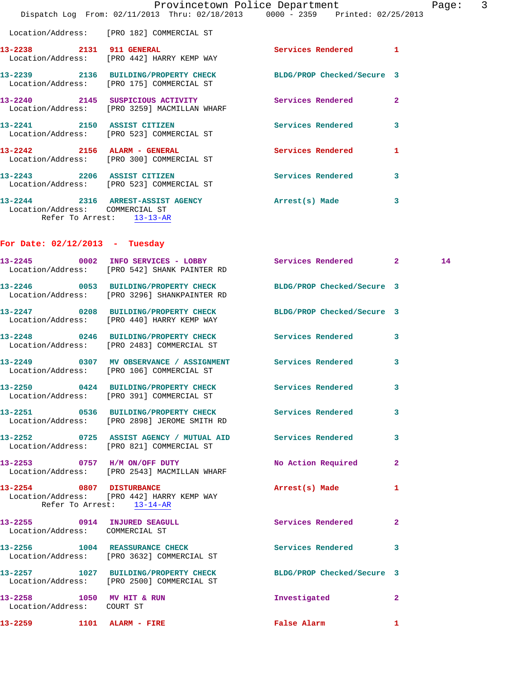|                              | Provincetown Police Department                                                                               |                          | $\overline{\phantom{a}}$<br>Page: |
|------------------------------|--------------------------------------------------------------------------------------------------------------|--------------------------|-----------------------------------|
|                              | Dispatch Log From: 02/11/2013 Thru: 02/18/2013 0000 - 2359 Printed: 02/25/2013                               |                          |                                   |
|                              | Location/Address: [PRO 182] COMMERCIAL ST                                                                    |                          |                                   |
| 13-2238 2131 911 GENERAL     | Location/Address: [PRO 442] HARRY KEMP WAY                                                                   | Services Rendered        | $\mathbf{1}$                      |
|                              | 13-2239 2136 BUILDING/PROPERTY CHECK BLDG/PROP Checked/Secure 3<br>Location/Address: [PRO 175] COMMERCIAL ST |                          |                                   |
|                              | 13-2240 2145 SUSPICIOUS ACTIVITY<br>Location/Address: [PRO 3259] MACMILLAN WHARF                             | Services Rendered        | $\overline{2}$                    |
| 13-2241 2150 ASSIST CITIZEN  | Location/Address: [PRO 523] COMMERCIAL ST                                                                    | <b>Services Rendered</b> | 3                                 |
| 13-2242 2156 ALARM - GENERAL | Location/Address: [PRO 300] COMMERCIAL ST                                                                    | <b>Services Rendered</b> | 1                                 |
| 13-2243 2206 ASSIST CITIZEN  | Location/Address: [PRO 523] COMMERCIAL ST                                                                    | <b>Services Rendered</b> | 3                                 |
|                              | 13-2244 2316 ARREST-ASSIST AGENCY                                                                            | Arrest(s) Made           | 3                                 |

 Location/Address: COMMERCIAL ST Refer To Arrest: 13-13-AR

## **For Date: 02/12/2013 - Tuesday**

| 13-2259 1101 ALARM - FIRE                               |                                                                                                                 | <b>False Alarm</b>       | 1              |    |
|---------------------------------------------------------|-----------------------------------------------------------------------------------------------------------------|--------------------------|----------------|----|
| 13-2258 1050 MV HIT & RUN<br>Location/Address: COURT ST |                                                                                                                 | Investigated             | $\mathbf{2}$   |    |
|                                                         | 13-2257 1027 BUILDING/PROPERTY CHECK BLDG/PROP Checked/Secure 3<br>Location/Address: [PRO 2500] COMMERCIAL ST   |                          |                |    |
|                                                         | 13-2256 1004 REASSURANCE CHECK<br>Location/Address: [PRO 3632] COMMERCIAL ST                                    | <b>Services Rendered</b> | 3              |    |
| Location/Address: COMMERCIAL ST                         | 13-2255 0914 INJURED SEAGULL Services Rendered                                                                  |                          | $\mathbf{2}$   |    |
|                                                         | 13-2254 0807 DISTURBANCE<br>Location/Address: [PRO 442] HARRY KEMP WAY<br>Refer To Arrest: 13-14-AR             | Arrest(s) Made           | 1              |    |
|                                                         | 13-2253 0757 H/M ON/OFF DUTY<br>Location/Address: [PRO 2543] MACMILLAN WHARF                                    | No Action Required       | $\overline{a}$ |    |
|                                                         | 13-2252 0725 ASSIST AGENCY / MUTUAL AID Services Rendered<br>Location/Address: [PRO 821] COMMERCIAL ST          |                          | 3              |    |
|                                                         | 13-2251 0536 BUILDING/PROPERTY CHECK Services Rendered<br>Location/Address: [PRO 2898] JEROME SMITH RD          |                          | 3              |    |
|                                                         | 13-2250 0424 BUILDING/PROPERTY CHECK Services Rendered<br>Location/Address: [PRO 391] COMMERCIAL ST             |                          | 3              |    |
|                                                         | 13-2249 0307 MV OBSERVANCE / ASSIGNMENT Services Rendered<br>Location/Address: [PRO 106] COMMERCIAL ST          |                          | 3              |    |
|                                                         | 13-2248 0246 BUILDING/PROPERTY CHECK Services Rendered<br>Location/Address: [PRO 2483] COMMERCIAL ST            |                          | 3              |    |
|                                                         | 13-2247 0208 BUILDING/PROPERTY CHECK BLDG/PROP Checked/Secure 3<br>Location/Address: [PRO 440] HARRY KEMP WAY   |                          |                |    |
|                                                         | 13-2246 0053 BUILDING/PROPERTY CHECK BLDG/PROP Checked/Secure 3<br>Location/Address: [PRO 3296] SHANKPAINTER RD |                          |                |    |
|                                                         | 13-2245 0002 INFO SERVICES - LOBBY<br>Location/Address: [PRO 542] SHANK PAINTER RD                              | Services Rendered 2      |                | 14 |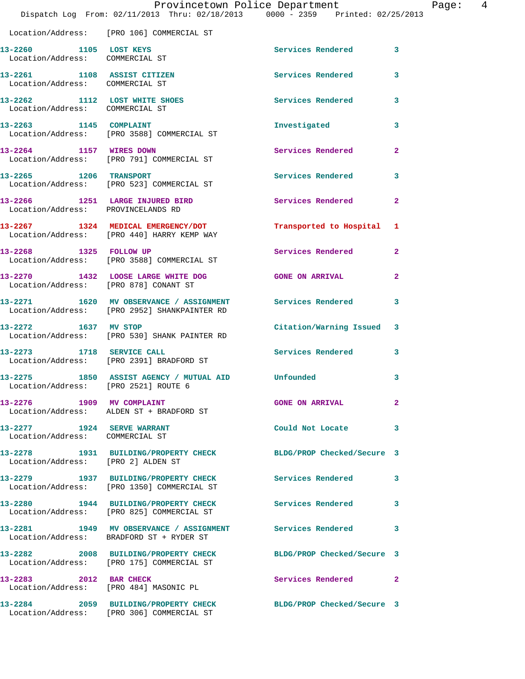|                                                                | Dispatch Log From: 02/11/2013 Thru: 02/18/2013 0000 - 2359 Printed: 02/25/2013                               | Provincetown Police Department | Page: 4        |
|----------------------------------------------------------------|--------------------------------------------------------------------------------------------------------------|--------------------------------|----------------|
|                                                                | Location/Address: [PRO 106] COMMERCIAL ST                                                                    |                                |                |
| 13-2260 1105 LOST KEYS<br>Location/Address: COMMERCIAL ST      |                                                                                                              | Services Rendered 3            |                |
| 13-2261 1108 ASSIST CITIZEN<br>Location/Address: COMMERCIAL ST |                                                                                                              | Services Rendered              | 3              |
| Location/Address: COMMERCIAL ST                                | 13-2262 1112 LOST WHITE SHOES                                                                                | Services Rendered 3            |                |
|                                                                | 13-2263 1145 COMPLAINT<br>Location/Address: [PRO 3588] COMMERCIAL ST                                         | Investigated                   | 3              |
| 13-2264 1157 WIRES DOWN                                        | Location/Address: [PRO 791] COMMERCIAL ST                                                                    | Services Rendered              | $\overline{2}$ |
|                                                                | 13-2265 1206 TRANSPORT<br>Location/Address: [PRO 523] COMMERCIAL ST                                          | Services Rendered              | 3              |
| Location/Address: PROVINCELANDS RD                             | 13-2266 1251 LARGE INJURED BIRD                                                                              | Services Rendered              | $\mathbf{2}$   |
|                                                                | 13-2267 1324 MEDICAL EMERGENCY/DOT<br>Location/Address: [PRO 440] HARRY KEMP WAY                             | Transported to Hospital 1      |                |
| 13-2268 1325 FOLLOW UP                                         | Location/Address: [PRO 3588] COMMERCIAL ST                                                                   | Services Rendered              | $\mathbf{2}$   |
| Location/Address: [PRO 878] CONANT ST                          | 13-2270 1432 LOOSE LARGE WHITE DOG                                                                           | <b>GONE ON ARRIVAL</b>         | $\mathbf{2}$   |
|                                                                | 13-2271 1620 MV OBSERVANCE / ASSIGNMENT Services Rendered<br>Location/Address: [PRO 2952] SHANKPAINTER RD    |                                | 3              |
| 13-2272 1637 MV STOP                                           | Location/Address: [PRO 530] SHANK PAINTER RD                                                                 | Citation/Warning Issued 3      |                |
| 13-2273 1718 SERVICE CALL                                      | Location/Address: [PRO 2391] BRADFORD ST                                                                     | Services Rendered              | $\mathbf{3}$   |
| Location/Address: [PRO 2521] ROUTE 6                           | 13-2275 1850 ASSIST AGENCY / MUTUAL AID Unfounded                                                            |                                | 3              |
|                                                                | 13-2276 1909 MV COMPLAINT<br>Location/Address: ALDEN ST + BRADFORD ST                                        | <b>GONE ON ARRIVAL</b>         | $\mathbf{2}$   |
| 13-2277 1924 SERVE WARRANT<br>Location/Address: COMMERCIAL ST  |                                                                                                              | Could Not Locate 3             |                |
| Location/Address: [PRO 2] ALDEN ST                             | 13-2278 1931 BUILDING/PROPERTY CHECK BLDG/PROP Checked/Secure 3                                              |                                |                |
|                                                                | 13-2279 1937 BUILDING/PROPERTY CHECK Services Rendered 3<br>Location/Address: [PRO 1350] COMMERCIAL ST       |                                |                |
|                                                                | 13-2280 1944 BUILDING/PROPERTY CHECK<br>Location/Address: [PRO 825] COMMERCIAL ST                            | Services Rendered              | 3              |
|                                                                | 13-2281 1949 MV OBSERVANCE / ASSIGNMENT Services Rendered<br>Location/Address: BRADFORD ST + RYDER ST        |                                | $\mathbf{3}$   |
|                                                                | 13-2282 2008 BUILDING/PROPERTY CHECK BLDG/PROP Checked/Secure 3<br>Location/Address: [PRO 175] COMMERCIAL ST |                                |                |
|                                                                | 13-2283 2012 BAR CHECK<br>Location/Address: [PRO 484] MASONIC PL                                             | <b>Services Rendered</b> 2     |                |
|                                                                | 13-2284 2059 BUILDING/PROPERTY CHECK<br>Location/Address: [PRO 306] COMMERCIAL ST                            | BLDG/PROP Checked/Secure 3     |                |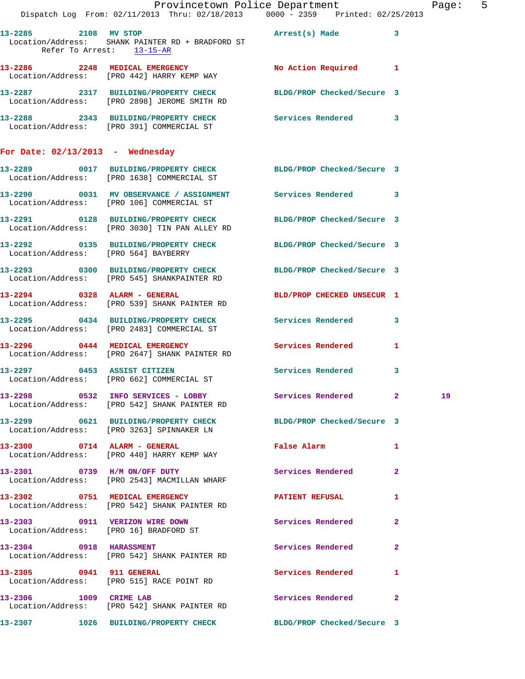|                                      | Provincetown Police Department<br>Dispatch Log From: 02/11/2013 Thru: 02/18/2013 0000 - 2359 Printed: 02/25/2013      |                            | Page: 5      |  |
|--------------------------------------|-----------------------------------------------------------------------------------------------------------------------|----------------------------|--------------|--|
|                                      |                                                                                                                       |                            |              |  |
| Refer To Arrest: 13-15-AR            | 13-2285 2108 MV STOP 2008 2009 2009 21:08 Arrest(s) Made 3<br>Location/Address: SHANK PAINTER RD + BRADFORD ST        |                            |              |  |
|                                      | 13-2286 2248 MEDICAL EMERGENCY<br>Location/Address: [PRO 442] HARRY KEMP WAY                                          | No Action Required 1       |              |  |
|                                      | 13-2287 2317 BUILDING/PROPERTY CHECK BLDG/PROP Checked/Secure 3<br>Location/Address: [PRO 2898] JEROME SMITH RD       |                            |              |  |
|                                      | 13-2288 2343 BUILDING/PROPERTY CHECK Services Rendered 3<br>Location/Address: [PRO 391] COMMERCIAL ST                 |                            |              |  |
| For Date: $02/13/2013$ - Wednesday   |                                                                                                                       |                            |              |  |
|                                      | 13-2289 0017 BUILDING/PROPERTY CHECK BLDG/PROP Checked/Secure 3<br>Location/Address: [PRO 1638] COMMERCIAL ST         |                            |              |  |
|                                      | 13-2290 0031 MV OBSERVANCE / ASSIGNMENT Services Rendered 3<br>Location/Address: [PRO 106] COMMERCIAL ST              |                            |              |  |
|                                      | 13-2291 0128 BUILDING/PROPERTY CHECK BLDG/PROP Checked/Secure 3<br>Location/Address: [PRO 3030] TIN PAN ALLEY RD      |                            |              |  |
| Location/Address: [PRO 564] BAYBERRY | 13-2292 0135 BUILDING/PROPERTY CHECK BLDG/PROP Checked/Secure 3                                                       |                            |              |  |
|                                      | 13-2293 0300 BUILDING/PROPERTY CHECK BLDG/PROP Checked/Secure 3<br>Location/Address: [PRO 545] SHANKPAINTER RD        |                            |              |  |
|                                      | 13-2294 0328 ALARM - GENERAL<br>Location/Address: [PRO 539] SHANK PAINTER RD                                          | BLD/PROP CHECKED UNSECUR 1 |              |  |
|                                      | 13-2295 0434 BUILDING/PROPERTY CHECK Services Rendered 3<br>Location/Address: [PRO 2483] COMMERCIAL ST                |                            |              |  |
|                                      | 13-2296 0444 MEDICAL EMERGENCY<br>Location/Address: [PRO 2647] SHANK PAINTER RD                                       | Services Rendered          | $\mathbf{1}$ |  |
|                                      | 13-2297 0453 ASSIST CITIZEN<br>Location/Address: [PRO 662] COMMERCIAL ST                                              | Services Rendered 3        |              |  |
|                                      | 13-2298 		 0532 INFO SERVICES - LOBBY 		 Services Rendered 		 2 		 19<br>Location/Address: [PRO 542] SHANK PAINTER RD |                            |              |  |
|                                      | 13-2299 0621 BUILDING/PROPERTY CHECK BLDG/PROP Checked/Secure 3<br>Location/Address: [PRO 3263] SPINNAKER LN          |                            |              |  |
|                                      | 13-2300 0714 ALARM - GENERAL<br>Location/Address: [PRO 440] HARRY KEMP WAY                                            | False Alarm 1              |              |  |
|                                      | 13-2301 0739 H/M ON/OFF DUTY<br>Location/Address: [PRO 2543] MACMILLAN WHARF                                          | <b>Services Rendered</b> 2 |              |  |
|                                      | 13-2302 0751 MEDICAL EMERGENCY PATIENT REFUSAL 1<br>Location/Address: [PRO 542] SHANK PAINTER RD                      |                            |              |  |
|                                      | 13-2303 0911 VERIZON WIRE DOWN Services Rendered 2<br>Location/Address: [PRO 16] BRADFORD ST                          |                            |              |  |
|                                      | 13-2304 0918 HARASSMENT<br>Location/Address: [PRO 542] SHANK PAINTER RD                                               | Services Rendered 2        |              |  |
|                                      | 13-2305 0941 911 GENERAL<br>Location/Address: [PRO 515] RACE POINT RD                                                 | Services Rendered 1        |              |  |
| 13-2306 1009 CRIME LAB               | Location/Address: [PRO 542] SHANK PAINTER RD                                                                          | Services Rendered 2        |              |  |
|                                      | 13-2307 1026 BUILDING/PROPERTY CHECK BLDG/PROP Checked/Secure 3                                                       |                            |              |  |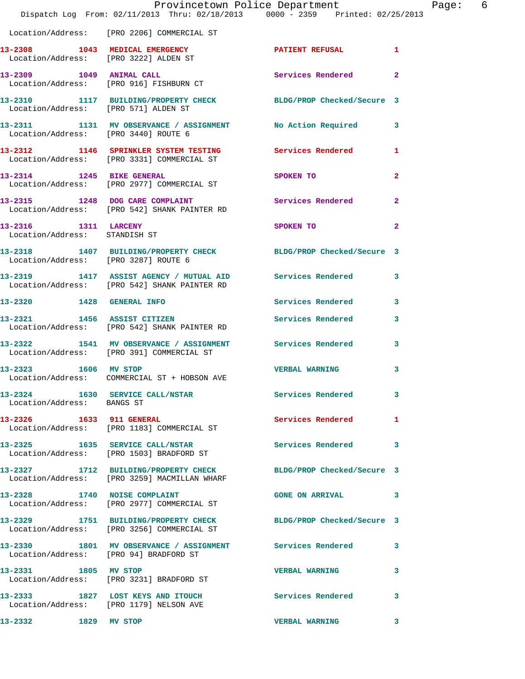|                                                       | Provincetown Police Department<br>Dispatch Log From: 02/11/2013 Thru: 02/18/2013 0000 - 2359 Printed: 02/25/2013 |                            |                |
|-------------------------------------------------------|------------------------------------------------------------------------------------------------------------------|----------------------------|----------------|
|                                                       | Location/Address: [PRO 2206] COMMERCIAL ST                                                                       |                            |                |
|                                                       | 13-2308 1043 MEDICAL EMERGENCY<br>Location/Address: [PRO 3222] ALDEN ST                                          | PATIENT REFUSAL            | $\mathbf{1}$   |
|                                                       | 13-2309 1049 ANIMAL CALL<br>Location/Address: [PRO 916] FISHBURN CT                                              | <b>Services Rendered</b>   | $\mathbf{2}$   |
| Location/Address: [PRO 571] ALDEN ST                  | 13-2310 1117 BUILDING/PROPERTY CHECK BLDG/PROP Checked/Secure 3                                                  |                            |                |
| Location/Address: [PRO 3440] ROUTE 6                  | 13-2311 1131 MV OBSERVANCE / ASSIGNMENT No Action Required                                                       |                            | 3              |
|                                                       | 13-2312 1146 SPRINKLER SYSTEM TESTING Services Rendered<br>Location/Address: [PRO 3331] COMMERCIAL ST            |                            | 1              |
|                                                       | 13-2314 1245 BIKE GENERAL<br>Location/Address: [PRO 2977] COMMERCIAL ST                                          | SPOKEN TO                  | $\overline{a}$ |
|                                                       | 13-2315 1248 DOG CARE COMPLAINT Services Rendered<br>Location/Address: [PRO 542] SHANK PAINTER RD                |                            | $\mathbf{2}$   |
| 13-2316 1311 LARCENY<br>Location/Address: STANDISH ST |                                                                                                                  | SPOKEN TO                  | $\overline{2}$ |
| Location/Address: [PRO 3287] ROUTE 6                  | 13-2318 1407 BUILDING/PROPERTY CHECK BLDG/PROP Checked/Secure 3                                                  |                            |                |
|                                                       | 13-2319 1417 ASSIST AGENCY / MUTUAL AID Services Rendered<br>Location/Address: [PRO 542] SHANK PAINTER RD        |                            | 3              |
| 13-2320 1428 GENERAL INFO                             |                                                                                                                  | <b>Services Rendered</b>   | 3              |
|                                                       | 13-2321 1456 ASSIST CITIZEN<br>Location/Address: [PRO 542] SHANK PAINTER RD                                      | Services Rendered          | 3              |
|                                                       | 13-2322 1541 MV OBSERVANCE / ASSIGNMENT Services Rendered<br>Location/Address: [PRO 391] COMMERCIAL ST           |                            | 3              |
|                                                       | 13-2323 1606 MV STOP<br>Location/Address: COMMERCIAL ST + HOBSON AVE                                             | <b>VERBAL WARNING</b>      | 3              |
| Location/Address: BANGS ST                            | 13-2324 1630 SERVICE CALL/NSTAR                                                                                  | Services Rendered          | 3              |
| 13-2326 1633 911 GENERAL                              | Location/Address: [PRO 1183] COMMERCIAL ST                                                                       | <b>Services Rendered</b>   | 1              |
|                                                       | 13-2325 1635 SERVICE CALL/NSTAR<br>Location/Address: [PRO 1503] BRADFORD ST                                      | <b>Services Rendered</b>   | 3              |
|                                                       | 13-2327 1712 BUILDING/PROPERTY CHECK BLDG/PROP Checked/Secure 3<br>Location/Address: [PRO 3259] MACMILLAN WHARF  |                            |                |
| 13-2328 1740 NOISE COMPLAINT                          | Location/Address: [PRO 2977] COMMERCIAL ST                                                                       | <b>GONE ON ARRIVAL</b>     | 3              |
|                                                       | 13-2329 1751 BUILDING/PROPERTY CHECK<br>Location/Address: [PRO 3256] COMMERCIAL ST                               | BLDG/PROP Checked/Secure 3 |                |
|                                                       | 13-2330 1801 MV OBSERVANCE / ASSIGNMENT Services Rendered<br>Location/Address: [PRO 94] BRADFORD ST              |                            | 3              |
| 13-2331 1805 MV STOP                                  | Location/Address: [PRO 3231] BRADFORD ST                                                                         | <b>VERBAL WARNING</b>      | 3              |
|                                                       | 13-2333 1827 LOST KEYS AND ITOUCH<br>Location/Address: [PRO 1179] NELSON AVE                                     | <b>Services Rendered</b>   | 3              |
| 13-2332 1829 MV STOP                                  |                                                                                                                  | <b>VERBAL WARNING</b>      | 3              |
|                                                       |                                                                                                                  |                            |                |

Page: 6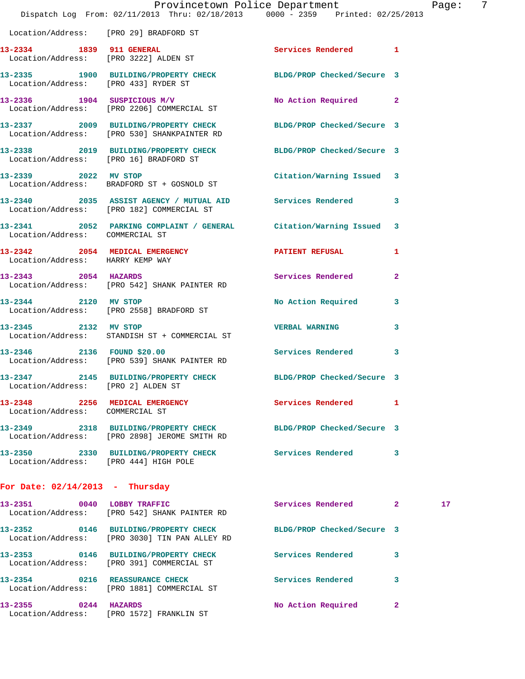|                                        | Dispatch Log From: 02/11/2013 Thru: 02/18/2013 0000 - 2359 Printed: 02/25/2013                                 | Provincetown Police Department |                | Page |
|----------------------------------------|----------------------------------------------------------------------------------------------------------------|--------------------------------|----------------|------|
| Location/Address: [PRO 29] BRADFORD ST |                                                                                                                |                                |                |      |
|                                        | 13-2334 1839 911 GENERAL<br>Location/Address: [PRO 3222] ALDEN ST                                              | Services Rendered 1            |                |      |
| Location/Address: [PRO 433] RYDER ST   | 13-2335 1900 BUILDING/PROPERTY CHECK BLDG/PROP Checked/Secure 3                                                |                                |                |      |
|                                        | 13-2336 1904 SUSPICIOUS M/V<br>Location/Address: [PRO 2206] COMMERCIAL ST                                      | No Action Required 2           |                |      |
|                                        | 13-2337 2009 BUILDING/PROPERTY CHECK BLDG/PROP Checked/Secure 3<br>Location/Address: [PRO 530] SHANKPAINTER RD |                                |                |      |
|                                        | 13-2338 2019 BUILDING/PROPERTY CHECK BLDG/PROP Checked/Secure 3<br>Location/Address: [PRO 16] BRADFORD ST      |                                |                |      |
|                                        | 13-2339 2022 MV STOP<br>Location/Address: BRADFORD ST + GOSNOLD ST                                             | Citation/Warning Issued 3      |                |      |
|                                        | 13-2340 2035 ASSIST AGENCY / MUTUAL AID Services Rendered<br>Location/Address: [PRO 182] COMMERCIAL ST         |                                | 3              |      |
| Location/Address: COMMERCIAL ST        | 13-2341 2052 PARKING COMPLAINT / GENERAL Citation/Warning Issued 3                                             |                                |                |      |
| Location/Address: HARRY KEMP WAY       | 13-2342 2054 MEDICAL EMERGENCY PATIENT REFUSAL                                                                 |                                | 1              |      |
|                                        | 13-2343 2054 HAZARDS<br>Location/Address: [PRO 542] SHANK PAINTER RD                                           | Services Rendered              | $\overline{a}$ |      |
| 13-2344 2120 MV STOP                   | Location/Address: [PRO 2558] BRADFORD ST                                                                       | No Action Required             | 3              |      |
| 13-2345 2132 MV STOP                   | Location/Address: STANDISH ST + COMMERCIAL ST                                                                  | <b>VERBAL WARNING</b>          | 3              |      |
|                                        | 13-2346 2136 FOUND \$20.00 Services Rendered<br>Location/Address: [PRO 539] SHANK PAINTER RD                   |                                | 3              |      |
| Location/Address: [PRO 2] ALDEN ST     | 13-2347 2145 BUILDING/PROPERTY CHECK                                                                           | BLDG/PROP Checked/Secure 3     |                |      |
| Location/Address: COMMERCIAL ST        | 13-2348 2256 MEDICAL EMERGENCY                                                                                 | Services Rendered              | 1              |      |
|                                        | 13-2349 2318 BUILDING/PROPERTY CHECK<br>Location/Address: [PRO 2898] JEROME SMITH RD                           | BLDG/PROP Checked/Secure 3     |                |      |
| Location/Address: [PRO 444] HIGH POLE  | 13-2350 2330 BUILDING/PROPERTY CHECK Services Rendered                                                         |                                | 3              |      |
| For Date: $02/14/2013$ - Thursday      |                                                                                                                |                                |                |      |
|                                        | 13-2351 0040 LOBBY TRAFFIC<br>Location/Address: [PRO 542] SHANK PAINTER RD                                     | <b>Services Rendered</b>       | $\mathbf{2}$   | 17   |
|                                        | 13-2352 0146 BUILDING/PROPERTY CHECK<br>Location/Address: [PRO 3030] TIN PAN ALLEY RD                          | BLDG/PROP Checked/Secure 3     |                |      |

**13-2353 0146 BUILDING/PROPERTY CHECK Services Rendered 3**  Location/Address: [PRO 391] COMMERCIAL ST **13-2354 0216 REASSURANCE CHECK Services Rendered 3**  Location/Address: [PRO 1881] COMMERCIAL ST

**13-2355 0244 HAZARDS No Action Required 2**  Location/Address: [PRO 1572] FRANKLIN ST

age: 7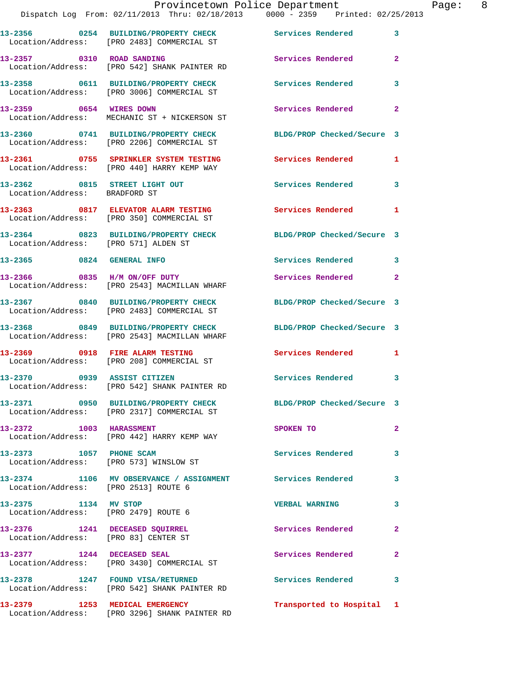|                                                              | Provincetown Police Department<br>Dispatch Log From: 02/11/2013 Thru: 02/18/2013 0000 - 2359 Printed: 02/25/2013 |                           |              | Page: 8 |  |
|--------------------------------------------------------------|------------------------------------------------------------------------------------------------------------------|---------------------------|--------------|---------|--|
|                                                              | 13-2356 0254 BUILDING/PROPERTY CHECK Services Rendered 3<br>Location/Address: [PRO 2483] COMMERCIAL ST           |                           |              |         |  |
|                                                              | 13-2357 0310 ROAD SANDING Services Rendered 2<br>Location/Address: [PRO 542] SHANK PAINTER RD                    |                           |              |         |  |
|                                                              |                                                                                                                  |                           |              |         |  |
|                                                              | 13-2359 0654 WIRES DOWN<br>Location/Address: MECHANIC ST + NICKERSON ST                                          | Services Rendered         | $\mathbf{2}$ |         |  |
|                                                              | 13-2360 0741 BUILDING/PROPERTY CHECK BLDG/PROP Checked/Secure 3<br>Location/Address: [PRO 2206] COMMERCIAL ST    |                           |              |         |  |
|                                                              | 13-2361 0755 SPRINKLER SYSTEM TESTING Services Rendered 1<br>Location/Address: [PRO 440] HARRY KEMP WAY          |                           |              |         |  |
| Location/Address: BRADFORD ST                                | 13-2362 0815 STREET LIGHT OUT Services Rendered 3                                                                |                           |              |         |  |
|                                                              | 13-2363 0817 ELEVATOR ALARM TESTING Services Rendered 1<br>Location/Address: [PRO 350] COMMERCIAL ST             |                           |              |         |  |
| Location/Address: [PRO 571] ALDEN ST                         | 13-2364 0823 BUILDING/PROPERTY CHECK BLDG/PROP Checked/Secure 3                                                  |                           |              |         |  |
|                                                              | 13-2365 0824 GENERAL INFO                                                                                        | Services Rendered 3       |              |         |  |
|                                                              | 13-2366 0835 H/M ON/OFF DUTY<br>Location/Address: [PRO 2543] MACMILLAN WHARF                                     | Services Rendered 2       |              |         |  |
|                                                              | 13-2367 0840 BUILDING/PROPERTY CHECK BLDG/PROP Checked/Secure 3<br>Location/Address: [PRO 2483] COMMERCIAL ST    |                           |              |         |  |
|                                                              | 13-2368 0849 BUILDING/PROPERTY CHECK BLDG/PROP Checked/Secure 3<br>Location/Address: [PRO 2543] MACMILLAN WHARF  |                           |              |         |  |
|                                                              | 13-2369 0918 FIRE ALARM TESTING<br>Location/Address: [PRO 208] COMMERCIAL ST                                     | Services Rendered 1       |              |         |  |
| 13-2370                                                      | 0939 ASSIST CITIZEN<br>Location/Address: [PRO 542] SHANK PAINTER RD                                              | Services Rendered 3       |              |         |  |
|                                                              | 13-2371 0950 BUILDING/PROPERTY CHECK BLDG/PROP Checked/Secure 3<br>Location/Address: [PRO 2317] COMMERCIAL ST    |                           |              |         |  |
|                                                              | 13-2372 1003 HARASSMENT<br>Location/Address: [PRO 442] HARRY KEMP WAY                                            | SPOKEN TO                 | $\mathbf{2}$ |         |  |
| 13-2373 1057 PHONE SCAM                                      | Location/Address: [PRO 573] WINSLOW ST                                                                           | Services Rendered         | 3            |         |  |
| Location/Address: [PRO 2513] ROUTE 6                         | 13-2374 1106 MV OBSERVANCE / ASSIGNMENT Services Rendered                                                        |                           | $\mathbf{3}$ |         |  |
| 13-2375 1134 MV STOP<br>Location/Address: [PRO 2479] ROUTE 6 |                                                                                                                  | <b>VERBAL WARNING</b>     | 3            |         |  |
|                                                              | 13-2376 1241 DECEASED SQUIRREL<br>Location/Address: [PRO 83] CENTER ST                                           | Services Rendered 2       |              |         |  |
|                                                              | 13-2377 1244 DECEASED SEAL<br>Location/Address: [PRO 3430] COMMERCIAL ST                                         | Services Rendered         | $\mathbf{2}$ |         |  |
|                                                              | 13-2378 1247 FOUND VISA/RETURNED Services Rendered 3<br>Location/Address: [PRO 542] SHANK PAINTER RD             |                           |              |         |  |
|                                                              |                                                                                                                  | Transported to Hospital 1 |              |         |  |

Location/Address: [PRO 3296] SHANK PAINTER RD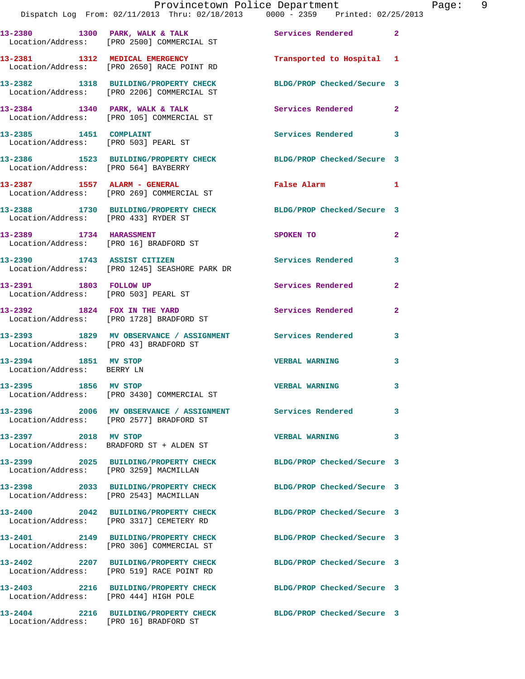|                                                    | Provincetown Police Department<br>Dispatch Log From: 02/11/2013 Thru: 02/18/2013 0000 - 2359 Printed: 02/25/2013 |                            |              |
|----------------------------------------------------|------------------------------------------------------------------------------------------------------------------|----------------------------|--------------|
|                                                    | 13-2380 1300 PARK, WALK & TALK (Services Rendered Location/Address: [PRO 2500] COMMERCIAL ST                     |                            | $\mathbf{2}$ |
|                                                    | 13-2381 1312 MEDICAL EMERGENCY<br>Location/Address: [PRO 2650] RACE POINT RD                                     | Transported to Hospital 1  |              |
|                                                    | 13-2382 1318 BUILDING/PROPERTY CHECK BLDG/PROP Checked/Secure 3<br>Location/Address: [PRO 2206] COMMERCIAL ST    |                            |              |
|                                                    | 13-2384 1340 PARK, WALK & TALK 1998 Services Rendered<br>Location/Address: [PRO 105] COMMERCIAL ST               |                            | $\mathbf{2}$ |
| 13-2385 1451 COMPLAINT                             | Location/Address: [PRO 503] PEARL ST                                                                             | Services Rendered          | 3            |
| Location/Address: [PRO 564] BAYBERRY               | 13-2386 1523 BUILDING/PROPERTY CHECK BLDG/PROP Checked/Secure 3                                                  |                            |              |
|                                                    |                                                                                                                  | False Alarm                | 1            |
| Location/Address: [PRO 433] RYDER ST               | 13-2388 1730 BUILDING/PROPERTY CHECK BLDG/PROP Checked/Secure 3                                                  |                            |              |
|                                                    | 13-2389 1734 HARASSMENT<br>Location/Address: [PRO 16] BRADFORD ST                                                | <b>SPOKEN TO</b>           | $\mathbf{2}$ |
|                                                    | 13-2390 1743 ASSIST CITIZEN<br>Location/Address: [PRO 1245] SEASHORE PARK DR                                     | Services Rendered          | 3            |
| 13-2391 1803 FOLLOW UP                             | Location/Address: [PRO 503] PEARL ST                                                                             | Services Rendered          | $\mathbf{2}$ |
|                                                    | 13-2392 1824 FOX IN THE YARD<br>Location/Address: [PRO 1728] BRADFORD ST                                         | <b>Services Rendered</b>   | $\mathbf{2}$ |
| Location/Address: [PRO 43] BRADFORD ST             | 13-2393 1829 MV OBSERVANCE / ASSIGNMENT Services Rendered                                                        |                            | 3            |
| 13-2394 1851 MV STOP<br>Location/Address: BERRY LN |                                                                                                                  | <b>VERBAL WARNING</b>      | 3            |
| 13-2395 1856 MV STOP                               | Location/Address: [PRO 3430] COMMERCIAL ST                                                                       | <b>VERBAL WARNING</b>      | 3            |
|                                                    | 13-2396 2006 MV OBSERVANCE / ASSIGNMENT Services Rendered<br>Location/Address: [PRO 2577] BRADFORD ST            |                            | 3            |
| 13-2397 2018 MV STOP                               | Location/Address: BRADFORD ST + ALDEN ST                                                                         | <b>VERBAL WARNING</b>      | 3            |
| Location/Address: [PRO 3259] MACMILLAN             | 13-2399 2025 BUILDING/PROPERTY CHECK BLDG/PROP Checked/Secure 3                                                  |                            |              |
|                                                    | 13-2398 2033 BUILDING/PROPERTY CHECK<br>Location/Address: [PRO 2543] MACMILLAN                                   | BLDG/PROP Checked/Secure 3 |              |
|                                                    | 13-2400 2042 BUILDING/PROPERTY CHECK<br>Location/Address: [PRO 3317] CEMETERY RD                                 | BLDG/PROP Checked/Secure 3 |              |
|                                                    | 13-2401 2149 BUILDING/PROPERTY CHECK<br>Location/Address: [PRO 306] COMMERCIAL ST                                | BLDG/PROP Checked/Secure 3 |              |
|                                                    | 13-2402 2207 BUILDING/PROPERTY CHECK<br>Location/Address: [PRO 519] RACE POINT RD                                | BLDG/PROP Checked/Secure 3 |              |
| Location/Address: [PRO 444] HIGH POLE              | 13-2403 2216 BUILDING/PROPERTY CHECK                                                                             | BLDG/PROP Checked/Secure 3 |              |
| Location/Address: [PRO 16] BRADFORD ST             | 13-2404 2216 BUILDING/PROPERTY CHECK                                                                             | BLDG/PROP Checked/Secure 3 |              |

Page: 9<br>13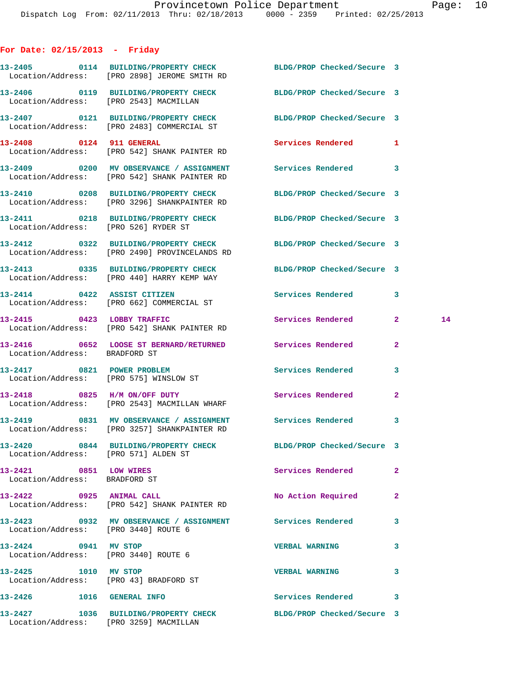## **For Date: 02/15/2013 - Friday**

|                                                                | 13-2405  0114 BUILDING/PROPERTY CHECK BLDG/PROP Checked/Secure 3<br>Location/Address: [PRO 2898] JEROME SMITH RD |                            |                |    |
|----------------------------------------------------------------|------------------------------------------------------------------------------------------------------------------|----------------------------|----------------|----|
|                                                                | 13-2406  0119 BUILDING/PROPERTY CHECK BLDG/PROP Checked/Secure 3<br>Location/Address: [PRO 2543] MACMILLAN       |                            |                |    |
|                                                                | 13-2407 0121 BUILDING/PROPERTY CHECK BLDG/PROP Checked/Secure 3<br>Location/Address: [PRO 2483] COMMERCIAL ST    |                            |                |    |
|                                                                | 13-2408 0124 911 GENERAL<br>Location/Address: [PRO 542] SHANK PAINTER RD                                         | Services Rendered          | 1              |    |
|                                                                | 13-2409 6200 MV OBSERVANCE / ASSIGNMENT Services Rendered 3<br>Location/Address: [PRO 542] SHANK PAINTER RD      |                            |                |    |
|                                                                | 13-2410 0208 BUILDING/PROPERTY CHECK BLDG/PROP Checked/Secure 3<br>Location/Address: [PRO 3296] SHANKPAINTER RD  |                            |                |    |
| Location/Address: [PRO 526] RYDER ST                           | 13-2411 0218 BUILDING/PROPERTY CHECK BLDG/PROP Checked/Secure 3                                                  |                            |                |    |
|                                                                | 13-2412 0322 BUILDING/PROPERTY CHECK BLDG/PROP Checked/Secure 3<br>Location/Address: [PRO 2490] PROVINCELANDS RD |                            |                |    |
|                                                                | 13-2413 0335 BUILDING/PROPERTY CHECK BLDG/PROP Checked/Secure 3<br>Location/Address: [PRO 440] HARRY KEMP WAY    |                            |                |    |
|                                                                | 13-2414 0422 ASSIST CITIZEN<br>Location/Address: [PRO 662] COMMERCIAL ST                                         | Services Rendered 3        |                |    |
|                                                                | 13-2415 0423 LOBBY TRAFFIC<br>Location/Address: [PRO 542] SHANK PAINTER RD                                       | Services Rendered          | $\mathbf{2}$   | 14 |
| Location/Address: BRADFORD ST                                  | 13-2416 652 LOOSE ST BERNARD/RETURNED Services Rendered                                                          |                            | $\mathbf{2}$   |    |
|                                                                | 13-2417 0821 POWER PROBLEM<br>Location/Address: [PRO 575] WINSLOW ST                                             | <b>Services Rendered</b>   | 3              |    |
|                                                                | 13-2418 0825 H/M ON/OFF DUTY Services Rendered<br>Location/Address: [PRO 2543] MACMILLAN WHARF                   |                            | $\mathbf{2}$   |    |
|                                                                | 13-2419 6831 MV OBSERVANCE / ASSIGNMENT Services Rendered<br>Location/Address: [PRO 3257] SHANKPAINTER RD        |                            | 3              |    |
| Location/Address: [PRO 571] ALDEN ST                           | 13-2420 0844 BUILDING/PROPERTY CHECK                                                                             | BLDG/PROP Checked/Secure 3 |                |    |
| 13-2421 0851 LOW WIRES<br>Location/Address: BRADFORD ST        |                                                                                                                  | Services Rendered          | $\overline{2}$ |    |
| 13-2422 0925 ANIMAL CALL                                       | Location/Address: [PRO 542] SHANK PAINTER RD                                                                     | No Action Required         | $\mathbf{2}$   |    |
| Location/Address: [PRO 3440] ROUTE 6                           | 13-2423 0932 MV OBSERVANCE / ASSIGNMENT Services Rendered                                                        |                            | 3              |    |
| 13-2424 0941 MV STOP<br>Location/Address: [PRO 3440] ROUTE 6   |                                                                                                                  | <b>VERBAL WARNING</b>      | 3              |    |
| 13-2425 1010 MV STOP<br>Location/Address: [PRO 43] BRADFORD ST |                                                                                                                  | <b>VERBAL WARNING</b>      | 3              |    |
| 13-2426   1016   GENERAL INFO                                  |                                                                                                                  | Services Rendered 3        |                |    |
| Location/Address: [PRO 3259] MACMILLAN                         | 13-2427 1036 BUILDING/PROPERTY CHECK                                                                             | BLDG/PROP Checked/Secure 3 |                |    |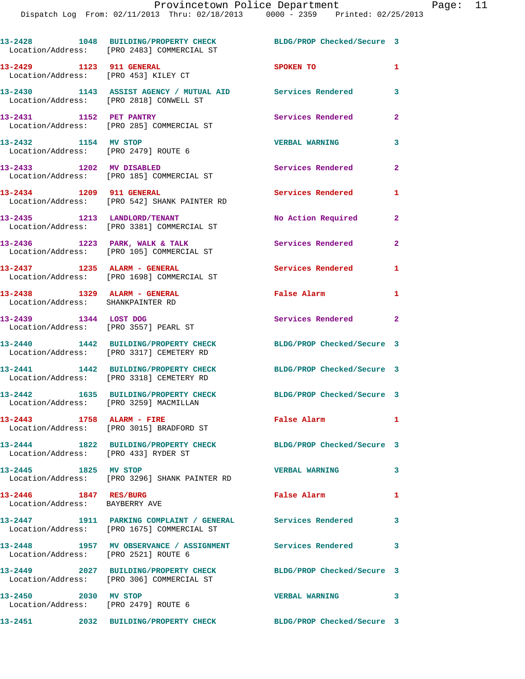|                                                                   | 13-2428 1048 BUILDING/PROPERTY CHECK<br>Location/Address: [PRO 2483] COMMERCIAL ST                       | BLDG/PROP Checked/Secure 3        |                |
|-------------------------------------------------------------------|----------------------------------------------------------------------------------------------------------|-----------------------------------|----------------|
| 13-2429 1123 911 GENERAL                                          | Location/Address: [PRO 453] KILEY CT                                                                     | SPOKEN TO                         | $\mathbf{1}$   |
|                                                                   | 13-2430 1143 ASSIST AGENCY / MUTUAL AID Services Rendered<br>Location/Address: [PRO 2818] CONWELL ST     |                                   | 3              |
| 13-2431 1152 PET PANTRY                                           | Location/Address: [PRO 285] COMMERCIAL ST                                                                | Services Rendered                 | $\mathbf{2}$   |
| 13-2432 1154 MV STOP<br>Location/Address: [PRO 2479] ROUTE 6      |                                                                                                          | <b>VERBAL WARNING</b>             | 3              |
| 13-2433 1202 MV DISABLED                                          | Location/Address: [PRO 185] COMMERCIAL ST                                                                | Services Rendered                 | $\mathbf{2}$   |
| 13-2434 1209 911 GENERAL                                          | Location/Address: [PRO 542] SHANK PAINTER RD                                                             | Services Rendered                 | 1              |
| 13-2435 1213 LANDLORD/TENANT                                      | Location/Address: [PRO 3381] COMMERCIAL ST                                                               | No Action Required                | $\overline{2}$ |
|                                                                   | 13-2436 1223 PARK, WALK & TALK<br>Location/Address: [PRO 105] COMMERCIAL ST                              | Services Rendered                 | $\mathbf{2}$   |
| 13-2437 1235 ALARM - GENERAL                                      | Location/Address: [PRO 1698] COMMERCIAL ST                                                               | Services Rendered                 | 1              |
| 13-2438 1329 ALARM - GENERAL<br>Location/Address: SHANKPAINTER RD |                                                                                                          | False Alarm                       | $\mathbf{1}$   |
| 13-2439 1344 LOST DOG<br>Location/Address: [PRO 3557] PEARL ST    |                                                                                                          | Services Rendered 2               |                |
|                                                                   | 13-2440 1442 BUILDING/PROPERTY CHECK<br>Location/Address: [PRO 3317] CEMETERY RD                         | BLDG/PROP Checked/Secure 3        |                |
|                                                                   | 13-2441 1442 BUILDING/PROPERTY CHECK<br>Location/Address: [PRO 3318] CEMETERY RD                         | BLDG/PROP Checked/Secure 3        |                |
| Location/Address: [PRO 3259] MACMILLAN                            | 13-2442 1635 BUILDING/PROPERTY CHECK                                                                     | BLDG/PROP Checked/Secure 3        |                |
| 13-2443 1758 ALARM - FIRE                                         | Location/Address: [PRO 3015] BRADFORD ST                                                                 | False Alarm                       | $\mathbf{1}$   |
| 13-2444<br>Location/Address: [PRO 433] RYDER ST                   | 1822 BUILDING/PROPERTY CHECK                                                                             | BLDG/PROP Checked/Secure 3        |                |
| 13-2445 1825 MV STOP                                              | Location/Address: [PRO 3296] SHANK PAINTER RD                                                            | <b>VERBAL WARNING</b>             | 3              |
| 13-2446 1847 RES/BURG<br>Location/Address: BAYBERRY AVE           |                                                                                                          | False Alarm                       | 1              |
|                                                                   | 13-2447 1911 PARKING COMPLAINT / GENERAL Services Rendered<br>Location/Address: [PRO 1675] COMMERCIAL ST |                                   | 3              |
| Location/Address: [PRO 2521] ROUTE 6                              | 13-2448 1957 MV OBSERVANCE / ASSIGNMENT Services Rendered 3                                              |                                   |                |
|                                                                   | 13-2449 2027 BUILDING/PROPERTY CHECK<br>Location/Address: [PRO 306] COMMERCIAL ST                        | BLDG/PROP Checked/Secure 3        |                |
| 13-2450 2030 MV STOP                                              | Location/Address: [PRO 2479] ROUTE 6                                                                     | $\sim$ 3<br><b>VERBAL WARNING</b> |                |
| 13-2451                                                           | 2032 BUILDING/PROPERTY CHECK                                                                             | BLDG/PROP Checked/Secure 3        |                |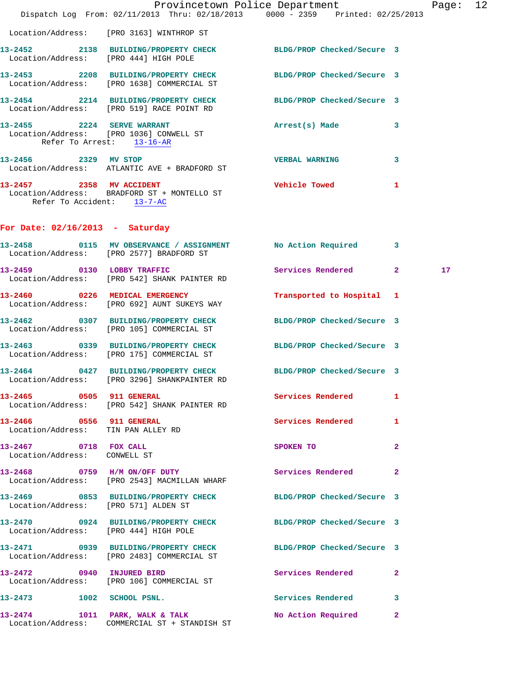|                                                       | Dispatch Log From: 02/11/2013 Thru: 02/18/2013 0000 - 2359 Printed: 02/25/2013                                  | Provincetown Police Department |                | Page: 12 |  |
|-------------------------------------------------------|-----------------------------------------------------------------------------------------------------------------|--------------------------------|----------------|----------|--|
|                                                       | Location/Address: [PRO 3163] WINTHROP ST                                                                        |                                |                |          |  |
|                                                       | 13-2452 2138 BUILDING/PROPERTY CHECK BLDG/PROP Checked/Secure 3<br>Location/Address: [PRO 444] HIGH POLE        |                                |                |          |  |
|                                                       | 13-2453 2208 BUILDING/PROPERTY CHECK<br>Location/Address: [PRO 1638] COMMERCIAL ST                              | BLDG/PROP Checked/Secure 3     |                |          |  |
|                                                       | 13-2454 2214 BUILDING/PROPERTY CHECK BLDG/PROP Checked/Secure 3<br>Location/Address: [PRO 519] RACE POINT RD    |                                |                |          |  |
|                                                       | 13-2455 2224 SERVE WARRANT<br>Location/Address: [PRO 1036] CONWELL ST<br>Refer To Arrest: 13-16-AR              | Arrest(s) Made                 | 3              |          |  |
| 13-2456 2329 MV STOP                                  | Location/Address: ATLANTIC AVE + BRADFORD ST                                                                    | <b>VERBAL WARNING</b>          | 3              |          |  |
| 13-2457 2358 MV ACCIDENT                              | Location/Address: BRADFORD ST + MONTELLO ST<br>Refer To Accident: 13-7-AC                                       | <b>Vehicle Towed</b>           | 1              |          |  |
| For Date: $02/16/2013$ - Saturday                     |                                                                                                                 |                                |                |          |  |
|                                                       | 13-2458 0115 MV OBSERVANCE / ASSIGNMENT No Action Required<br>Location/Address: [PRO 2577] BRADFORD ST          |                                | $\mathbf{3}$   |          |  |
|                                                       | 13-2459 0130 LOBBY TRAFFIC<br>Location/Address: [PRO 542] SHANK PAINTER RD                                      | Services Rendered              | $\overline{2}$ | 17       |  |
|                                                       | 13-2460 0226 MEDICAL EMERGENCY<br>Location/Address: [PRO 692] AUNT SUKEYS WAY                                   | Transported to Hospital 1      |                |          |  |
|                                                       | 13-2462 0307 BUILDING/PROPERTY CHECK BLDG/PROP Checked/Secure 3<br>Location/Address: [PRO 105] COMMERCIAL ST    |                                |                |          |  |
|                                                       | 13-2463 0339 BUILDING/PROPERTY CHECK BLDG/PROP Checked/Secure 3<br>Location/Address: [PRO 175] COMMERCIAL ST    |                                |                |          |  |
|                                                       | 13-2464 0427 BUILDING/PROPERTY CHECK BLDG/PROP Checked/Secure 3<br>Location/Address: [PRO 3296] SHANKPAINTER RD |                                |                |          |  |
| 13-2465 0505 911 GENERAL                              | Location/Address: [PRO 542] SHANK PAINTER RD                                                                    | <b>Services Rendered</b>       | 1              |          |  |
|                                                       | 13-2466 0556 911 GENERAL<br>Location/Address: TIN PAN ALLEY RD                                                  | <b>Services Rendered</b>       | 1              |          |  |
| 13-2467 0718 FOX CALL<br>Location/Address: CONWELL ST |                                                                                                                 | SPOKEN TO                      | $\mathbf{2}$   |          |  |
|                                                       | 13-2468 0759 H/M ON/OFF DUTY<br>Location/Address: [PRO 2543] MACMILLAN WHARF                                    | Services Rendered              | 2              |          |  |
|                                                       | 13-2469 0853 BUILDING/PROPERTY CHECK<br>Location/Address: [PRO 571] ALDEN ST                                    | BLDG/PROP Checked/Secure 3     |                |          |  |
|                                                       | 13-2470 0924 BUILDING/PROPERTY CHECK<br>Location/Address: [PRO 444] HIGH POLE                                   | BLDG/PROP Checked/Secure 3     |                |          |  |
|                                                       | 13-2471 0939 BUILDING/PROPERTY CHECK<br>Location/Address: [PRO 2483] COMMERCIAL ST                              | BLDG/PROP Checked/Secure 3     |                |          |  |
|                                                       | 13-2472 0940 INJURED BIRD<br>Location/Address: [PRO 106] COMMERCIAL ST                                          | Services Rendered              | $\mathbf{2}$   |          |  |

**13-2474 1011 PARK, WALK & TALK No Action Required 2**  Location/Address: COMMERCIAL ST + STANDISH ST

**13-2473 1002 SCHOOL PSNL. Services Rendered 3**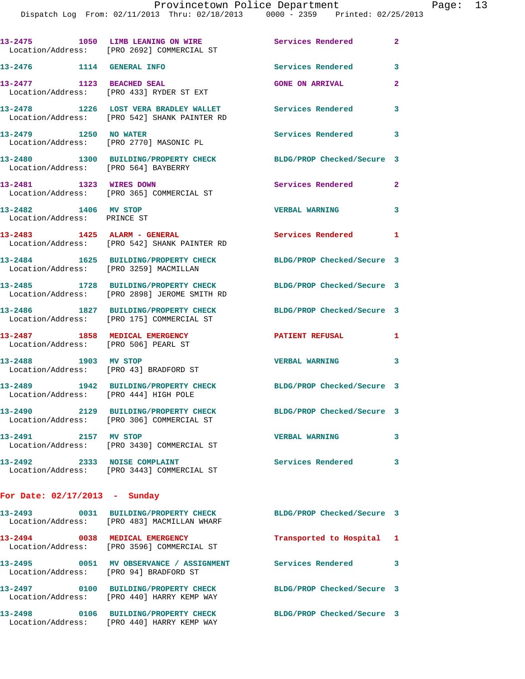|                                                                        | 13-2475 1050 LIMB LEANING ON WIRE<br>Location/Address: [PRO 2692] COMMERCIAL ST       | Services Rendered          | $\mathbf{2}$ |
|------------------------------------------------------------------------|---------------------------------------------------------------------------------------|----------------------------|--------------|
| 13-2476 1114 GENERAL INFO                                              |                                                                                       | Services Rendered          | 3            |
| 13-2477 1123 BEACHED SEAL                                              | Location/Address: [PRO 433] RYDER ST EXT                                              | <b>GONE ON ARRIVAL</b>     | $\mathbf{2}$ |
|                                                                        | 13-2478 1226 LOST VERA BRADLEY WALLET<br>Location/Address: [PRO 542] SHANK PAINTER RD | <b>Services Rendered</b>   | 3            |
| 13-2479 1250 NO WATER<br>Location/Address: [PRO 2770] MASONIC PL       |                                                                                       | Services Rendered          | 3            |
| Location/Address: [PRO 564] BAYBERRY                                   | 13-2480 1300 BUILDING/PROPERTY CHECK                                                  | BLDG/PROP Checked/Secure 3 |              |
| 13-2481 1323 WIRES DOWN                                                | Location/Address: [PRO 365] COMMERCIAL ST                                             | Services Rendered          | $\mathbf{2}$ |
| 13-2482 1406 MV STOP<br>Location/Address: PRINCE ST                    |                                                                                       | <b>VERBAL WARNING</b>      | 3            |
| 13-2483 1425 ALARM - GENERAL                                           | Location/Address: [PRO 542] SHANK PAINTER RD                                          | Services Rendered 1        |              |
| Location/Address: [PRO 3259] MACMILLAN                                 | 13-2484 1625 BUILDING/PROPERTY CHECK                                                  | BLDG/PROP Checked/Secure 3 |              |
|                                                                        | 13-2485 1728 BUILDING/PROPERTY CHECK<br>Location/Address: [PRO 2898] JEROME SMITH RD  | BLDG/PROP Checked/Secure 3 |              |
|                                                                        | 13-2486 1827 BUILDING/PROPERTY CHECK<br>Location/Address: [PRO 175] COMMERCIAL ST     | BLDG/PROP Checked/Secure 3 |              |
| 13-2487 1858 MEDICAL EMERGENCY<br>Location/Address: [PRO 506] PEARL ST |                                                                                       | <b>PATIENT REFUSAL</b>     | 1            |
| 13-2488 1903 MV STOP<br>Location/Address: [PRO 43] BRADFORD ST         |                                                                                       | <b>VERBAL WARNING</b>      | 3            |
| Location/Address: [PRO 444] HIGH POLE                                  | 13-2489 1942 BUILDING/PROPERTY CHECK                                                  | BLDG/PROP Checked/Secure 3 |              |
| 13-2490                                                                | 2129 BUILDING/PROPERTY CHECK<br>Location/Address: [PRO 306] COMMERCIAL ST             | BLDG/PROP Checked/Secure 3 |              |
| 13-2491<br>2157 MV STOP                                                | Location/Address: [PRO 3430] COMMERCIAL ST                                            | <b>VERBAL WARNING</b>      | 3            |
| 13-2492 2333 NOISE COMPLAINT                                           | Location/Address: [PRO 3443] COMMERCIAL ST                                            | Services Rendered          | 3            |
| For Date: $02/17/2013$ - Sunday                                        |                                                                                       |                            |              |
|                                                                        | Location/Address: [PRO 483] MACMILLAN WHARF                                           | BLDG/PROP Checked/Secure 3 |              |

| 13-2493<br>Location/Address: |      | 0031 BUILDING/PROPERTY CHECK<br>[PRO 483] MACMILLAN WHARF  | BLDG/PROP Checked/Secure 3 |                |
|------------------------------|------|------------------------------------------------------------|----------------------------|----------------|
| 13-2494<br>Location/Address: | 0038 | MEDICAL EMERGENCY<br>[PRO 3596] COMMERCIAL ST              | Transported to Hospital    | $\blacksquare$ |
| 13–2495<br>Location/Address: | 0051 | MV OBSERVANCE / ASSIGNMENT<br>[PRO 94] BRADFORD ST         | Services Rendered          | 3              |
| 13-2497<br>Location/Address: | 0100 | <b>BUILDING/PROPERTY CHECK</b><br>[PRO 440] HARRY KEMP WAY | BLDG/PROP Checked/Secure 3 |                |
| 13-2498<br>Location/Address: | 0106 | <b>BUILDING/PROPERTY CHECK</b><br>[PRO 440] HARRY KEMP WAY | BLDG/PROP Checked/Secure 3 |                |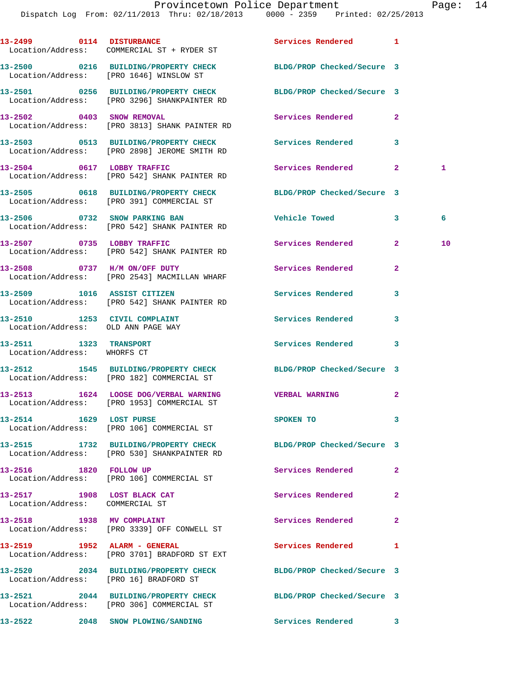|                                                                | 13-2499 0114 DISTURBANCE<br>Location/Address: COMMERCIAL ST + RYDER ST                                          | Services Rendered 1        |                |    |
|----------------------------------------------------------------|-----------------------------------------------------------------------------------------------------------------|----------------------------|----------------|----|
|                                                                | 13-2500 0216 BUILDING/PROPERTY CHECK<br>Location/Address: [PRO 1646] WINSLOW ST                                 | BLDG/PROP Checked/Secure 3 |                |    |
|                                                                | 13-2501 0256 BUILDING/PROPERTY CHECK BLDG/PROP Checked/Secure 3<br>Location/Address: [PRO 3296] SHANKPAINTER RD |                            |                |    |
|                                                                | 13-2502 0403 SNOW REMOVAL<br>Location/Address: [PRO 3813] SHANK PAINTER RD                                      | <b>Services Rendered</b>   | $\mathbf{2}$   |    |
|                                                                | 13-2503 0513 BUILDING/PROPERTY CHECK Services Rendered 3<br>Location/Address: [PRO 2898] JEROME SMITH RD        |                            |                |    |
|                                                                | 13-2504 0617 LOBBY TRAFFIC<br>Location/Address: [PRO 542] SHANK PAINTER RD                                      | Services Rendered 2        |                | 1  |
|                                                                | 13-2505 0618 BUILDING/PROPERTY CHECK BLDG/PROP Checked/Secure 3<br>Location/Address: [PRO 391] COMMERCIAL ST    |                            |                |    |
|                                                                | 13-2506 0732 SNOW PARKING BAN<br>Location/Address: [PRO 542] SHANK PAINTER RD                                   | Vehicle Towed 3            |                | 6  |
|                                                                | 13-2507 0735 LOBBY TRAFFIC<br>Location/Address: [PRO 542] SHANK PAINTER RD                                      | <b>Services Rendered</b>   | $\mathbf{2}$   | 10 |
|                                                                | 13-2508 0737 H/M ON/OFF DUTY<br>Location/Address: [PRO 2543] MACMILLAN WHARF                                    | <b>Services Rendered</b>   | $\mathbf{2}$   |    |
|                                                                | 13-2509 1016 ASSIST CITIZEN<br>Location/Address: [PRO 542] SHANK PAINTER RD                                     | Services Rendered          | 3              |    |
| Location/Address: OLD ANN PAGE WAY                             | 13-2510 1253 CIVIL COMPLAINT                                                                                    | Services Rendered          | 3              |    |
| 13-2511 1323 TRANSPORT<br>Location/Address: WHORFS CT          |                                                                                                                 | Services Rendered          | 3              |    |
|                                                                | 13-2512 1545 BUILDING/PROPERTY CHECK BLDG/PROP Checked/Secure 3<br>Location/Address: [PRO 182] COMMERCIAL ST    |                            |                |    |
|                                                                | 13-2513 1624 LOOSE DOG/VERBAL WARNING<br>Location/Address: [PRO 1953] COMMERCIAL ST                             | <b>VERBAL WARNING</b>      | 2              |    |
|                                                                | 13-2514 1629 LOST PURSE<br>Location/Address: [PRO 106] COMMERCIAL ST                                            | SPOKEN TO                  | 3              |    |
|                                                                | 13-2515 1732 BUILDING/PROPERTY CHECK<br>Location/Address: [PRO 530] SHANKPAINTER RD                             | BLDG/PROP Checked/Secure 3 |                |    |
| 13-2516 1820 FOLLOW UP                                         | Location/Address: [PRO 106] COMMERCIAL ST                                                                       | Services Rendered          | $\mathbf{2}$   |    |
| 13-2517 1908 LOST BLACK CAT<br>Location/Address: COMMERCIAL ST |                                                                                                                 | Services Rendered          | $\mathbf{2}$   |    |
| 13-2518 1938 MV COMPLAINT                                      | Location/Address: [PRO 3339] OFF CONWELL ST                                                                     | Services Rendered          | $\overline{2}$ |    |
|                                                                | 13-2519 1952 ALARM - GENERAL<br>Location/Address: [PRO 3701] BRADFORD ST EXT                                    | Services Rendered          | 1              |    |
|                                                                | 13-2520 2034 BUILDING/PROPERTY CHECK<br>Location/Address: [PRO 16] BRADFORD ST                                  | BLDG/PROP Checked/Secure 3 |                |    |
|                                                                | 13-2521 2044 BUILDING/PROPERTY CHECK<br>Location/Address: [PRO 306] COMMERCIAL ST                               | BLDG/PROP Checked/Secure 3 |                |    |
| 13-2522                                                        | 2048 SNOW PLOWING/SANDING                                                                                       | Services Rendered 3        |                |    |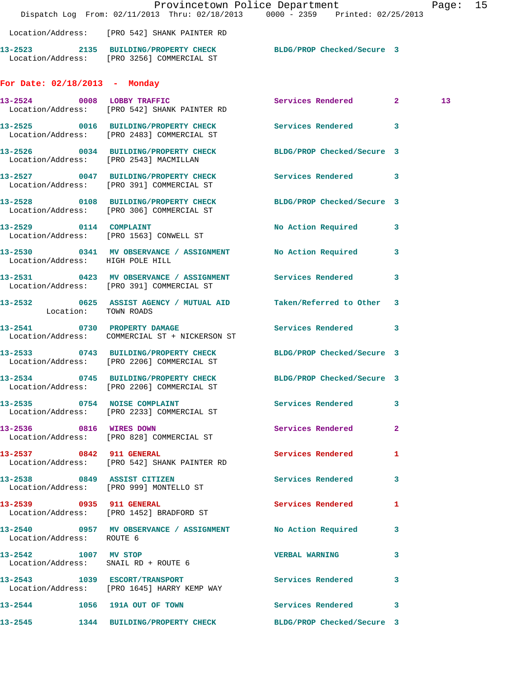|                                  |                                                                                                        | Provincetown Police Department<br>Dispatch Log From: 02/11/2013 Thru: 02/18/2013 0000 - 2359 Printed: 02/25/2013 | Page: 15        |  |
|----------------------------------|--------------------------------------------------------------------------------------------------------|------------------------------------------------------------------------------------------------------------------|-----------------|--|
|                                  | Location/Address: [PRO 542] SHANK PAINTER RD                                                           |                                                                                                                  |                 |  |
|                                  | Location/Address: [PRO 3256] COMMERCIAL ST                                                             | 13-2523 2135 BUILDING/PROPERTY CHECK BLDG/PROP Checked/Secure 3                                                  |                 |  |
| For Date: $02/18/2013$ - Monday  |                                                                                                        |                                                                                                                  |                 |  |
|                                  | 13-2524 0008 LOBBY TRAFFIC<br>Location/Address: [PRO 542] SHANK PAINTER RD                             | Services Rendered 2                                                                                              | 13 <sub>1</sub> |  |
|                                  | 13-2525 0016 BUILDING/PROPERTY CHECK<br>Location/Address: [PRO 2483] COMMERCIAL ST                     | Services Rendered 3                                                                                              |                 |  |
|                                  | Location/Address: [PRO 2543] MACMILLAN                                                                 | 13-2526 0034 BUILDING/PROPERTY CHECK BLDG/PROP Checked/Secure 3                                                  |                 |  |
|                                  | Location/Address: [PRO 391] COMMERCIAL ST                                                              | 13-2527 0047 BUILDING/PROPERTY CHECK Services Rendered 3                                                         |                 |  |
|                                  | Location/Address: [PRO 306] COMMERCIAL ST                                                              | 13-2528 0108 BUILDING/PROPERTY CHECK BLDG/PROP Checked/Secure 3                                                  |                 |  |
|                                  | 13-2529 0114 COMPLAINT<br>Location/Address: [PRO 1563] CONWELL ST                                      | No Action Required 3                                                                                             |                 |  |
| Location/Address: HIGH POLE HILL | 13-2530 0341 MV OBSERVANCE / ASSIGNMENT No Action Required                                             | $\overline{\mathbf{3}}$                                                                                          |                 |  |
|                                  | 13-2531 0423 MV OBSERVANCE / ASSIGNMENT Services Rendered<br>Location/Address: [PRO 391] COMMERCIAL ST | $\mathbf{3}$                                                                                                     |                 |  |
| Location: TOWN ROADS             |                                                                                                        | 13-2532 0625 ASSIST AGENCY / MUTUAL AID Taken/Referred to Other 3                                                |                 |  |
|                                  | Location/Address: COMMERCIAL ST + NICKERSON ST                                                         | 13-2541 0730 PROPERTY DAMAGE Services Rendered 3                                                                 |                 |  |
|                                  | 13-2533 0743 BUILDING/PROPERTY CHECK<br>Location/Address: [PRO 2206] COMMERCIAL ST                     | BLDG/PROP Checked/Secure 3                                                                                       |                 |  |
|                                  | Location/Address: [PRO 2206] COMMERCIAL ST                                                             | 13-2534 0745 BUILDING/PROPERTY CHECK BLDG/PROP Checked/Secure 3                                                  |                 |  |
|                                  | Location/Address: [PRO 2233] COMMERCIAL ST                                                             | 13-2535 0754 NOISE COMPLAINT Services Rendered 3                                                                 |                 |  |
|                                  | 13-2536 0816 WIRES DOWN<br>Location/Address: [PRO 828] COMMERCIAL ST                                   | Services Rendered 2                                                                                              |                 |  |
| 13-2537 0842 911 GENERAL         | Location/Address: [PRO 542] SHANK PAINTER RD                                                           | Services Rendered 1                                                                                              |                 |  |
|                                  | 13-2538 0849 ASSIST CITIZEN<br>Location/Address: [PRO 999] MONTELLO ST                                 | Services Rendered 3                                                                                              |                 |  |
|                                  | 13-2539 0935 911 GENERAL<br>Location/Address: [PRO 1452] BRADFORD ST                                   | Services Rendered 1                                                                                              |                 |  |
| Location/Address: ROUTE 6        |                                                                                                        | 13-2540 0957 MV OBSERVANCE / ASSIGNMENT No Action Required 3                                                     |                 |  |
|                                  | 13-2542 1007 MV STOP<br>Location/Address: SNAIL RD + ROUTE 6                                           | VERBAL WARNING 3                                                                                                 |                 |  |
|                                  | 13-2543 1039 ESCORT/TRANSPORT<br>Location/Address: [PRO 1645] HARRY KEMP WAY                           | Services Rendered 3                                                                                              |                 |  |
|                                  |                                                                                                        | 13-2544 1056 191A OUT OF TOWN Services Rendered 3                                                                |                 |  |
|                                  |                                                                                                        | 13-2545 1344 BUILDING/PROPERTY CHECK BLDG/PROP Checked/Secure 3                                                  |                 |  |
|                                  |                                                                                                        |                                                                                                                  |                 |  |